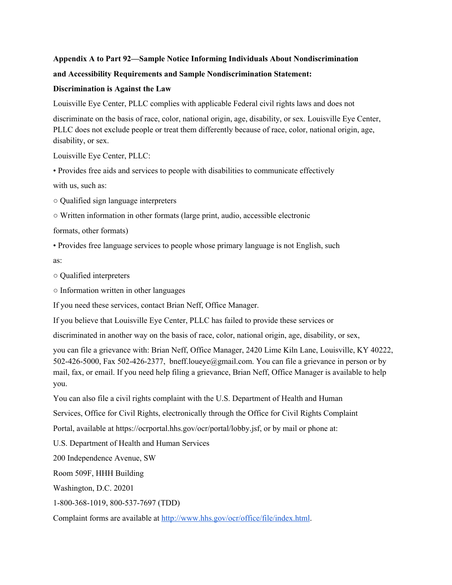## **Appendix A to Part 92—Sample Notice Informing Individuals About Nondiscrimination and Accessibility Requirements and Sample Nondiscrimination Statement:**

## **Discrimination is Against the Law**

Louisville Eye Center, PLLC complies with applicable Federal civil rights laws and does not

discriminate on the basis of race, color, national origin, age, disability, or sex. Louisville Eye Center, PLLC does not exclude people or treat them differently because of race, color, national origin, age, disability, or sex.

Louisville Eye Center, PLLC:

• Provides free aids and services to people with disabilities to communicate effectively with us, such as:

○ Qualified sign language interpreters

○ Written information in other formats (large print, audio, accessible electronic

formats, other formats)

• Provides free language services to people whose primary language is not English, such

as:

○ Qualified interpreters

○ Information written in other languages

If you need these services, contact Brian Neff, Office Manager.

If you believe that Louisville Eye Center, PLLC has failed to provide these services or

discriminated in another way on the basis of race, color, national origin, age, disability, or sex,

you can file a grievance with: Brian Neff, Office Manager, 2420 Lime Kiln Lane, Louisville, KY 40222, 502-426-5000, Fax 502-426-2377, bneff.loueye@gmail.com. You can file a grievance in person or by mail, fax, or email. If you need help filing a grievance, Brian Neff, Office Manager is available to help you.

You can also file a civil rights complaint with the U.S. Department of Health and Human

Services, Office for Civil Rights, electronically through the Office for Civil Rights Complaint

Portal, available at https://ocrportal.hhs.gov/ocr/portal/lobby.jsf, or by mail or phone at:

U.S. Department of Health and Human Services

200 Independence Avenue, SW

Room 509F, HHH Building

Washington, D.C. 20201

1-800-368-1019, 800-537-7697 (TDD)

Complaint forms are available at [http://www.hhs.gov/ocr/office/file/index.html.](http://www.hhs.gov/ocr/office/file/index.html)